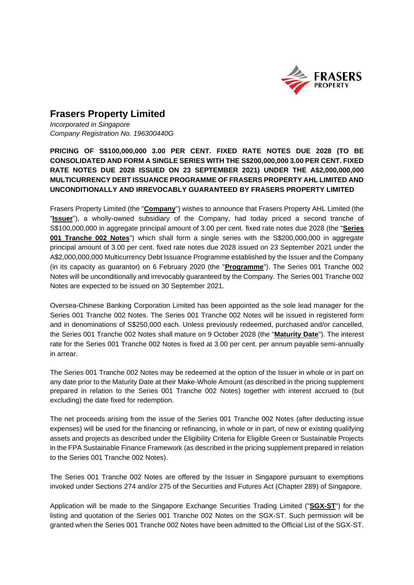

## **Frasers Property Limited**

*Incorporated in Singapore Company Registration No. 196300440G*

**PRICING OF S\$100,000,000 3.00 PER CENT. FIXED RATE NOTES DUE 2028 (TO BE CONSOLIDATED AND FORM A SINGLE SERIES WITH THE S\$200,000,000 3.00 PER CENT. FIXED RATE NOTES DUE 2028 ISSUED ON 23 SEPTEMBER 2021) UNDER THE A\$2,000,000,000 MULTICURRENCY DEBT ISSUANCE PROGRAMME OF FRASERS PROPERTY AHL LIMITED AND UNCONDITIONALLY AND IRREVOCABLY GUARANTEED BY FRASERS PROPERTY LIMITED** 

Frasers Property Limited (the "**Company**") wishes to announce that Frasers Property AHL Limited (the "**Issuer**"), a wholly-owned subsidiary of the Company, had today priced a second tranche of S\$100,000,000 in aggregate principal amount of 3.00 per cent. fixed rate notes due 2028 (the "**Series 001 Tranche 002 Notes**") which shall form a single series with the S\$200,000,000 in aggregate principal amount of 3.00 per cent. fixed rate notes due 2028 issued on 23 September 2021 under the A\$2,000,000,000 Multicurrency Debt Issuance Programme established by the Issuer and the Company (in its capacity as guarantor) on 6 February 2020 (the "**Programme**"). The Series 001 Tranche 002 Notes will be unconditionally and irrevocably guaranteed by the Company. The Series 001 Tranche 002 Notes are expected to be issued on 30 September 2021.

Oversea-Chinese Banking Corporation Limited has been appointed as the sole lead manager for the Series 001 Tranche 002 Notes. The Series 001 Tranche 002 Notes will be issued in registered form and in denominations of S\$250,000 each. Unless previously redeemed, purchased and/or cancelled, the Series 001 Tranche 002 Notes shall mature on 9 October 2028 (the "**Maturity Date**"). The interest rate for the Series 001 Tranche 002 Notes is fixed at 3.00 per cent. per annum payable semi-annually in arrear.

The Series 001 Tranche 002 Notes may be redeemed at the option of the Issuer in whole or in part on any date prior to the Maturity Date at their Make-Whole Amount (as described in the pricing supplement prepared in relation to the Series 001 Tranche 002 Notes) together with interest accrued to (but excluding) the date fixed for redemption.

The net proceeds arising from the issue of the Series 001 Tranche 002 Notes (after deducting issue expenses) will be used for the financing or refinancing, in whole or in part, of new or existing qualifying assets and projects as described under the Eligibility Criteria for Eligible Green or Sustainable Projects in the FPA Sustainable Finance Framework (as described in the pricing supplement prepared in relation to the Series 001 Tranche 002 Notes).

The Series 001 Tranche 002 Notes are offered by the Issuer in Singapore pursuant to exemptions invoked under Sections 274 and/or 275 of the Securities and Futures Act (Chapter 289) of Singapore.

Application will be made to the Singapore Exchange Securities Trading Limited ("**SGX-ST**") for the listing and quotation of the Series 001 Tranche 002 Notes on the SGX-ST. Such permission will be granted when the Series 001 Tranche 002 Notes have been admitted to the Official List of the SGX-ST.